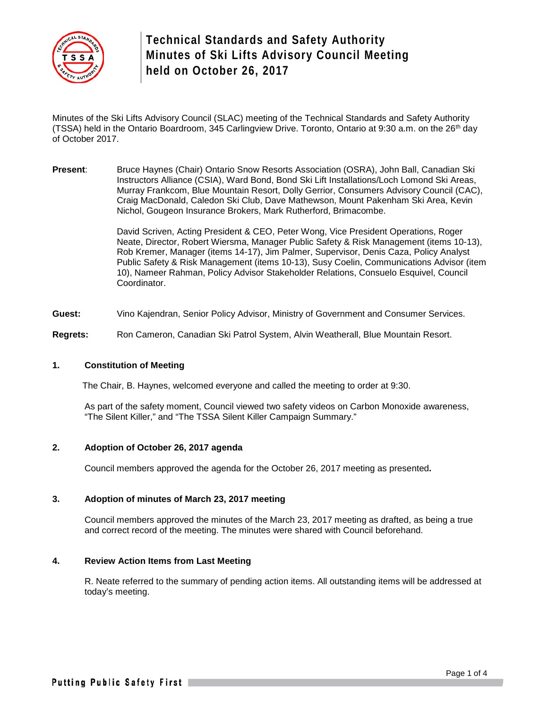

Minutes of the Ski Lifts Advisory Council (SLAC) meeting of the Technical Standards and Safety Authority (TSSA) held in the Ontario Boardroom, 345 Carlingview Drive. Toronto, Ontario at 9:30 a.m. on the 26<sup>th</sup> day of October 2017.

**Present**: Bruce Haynes (Chair) Ontario Snow Resorts Association (OSRA), John Ball, Canadian Ski Instructors Alliance (CSIA), Ward Bond, Bond Ski Lift Installations/Loch Lomond Ski Areas, Murray Frankcom, Blue Mountain Resort, Dolly Gerrior, Consumers Advisory Council (CAC), Craig MacDonald, Caledon Ski Club, Dave Mathewson, Mount Pakenham Ski Area, Kevin Nichol, Gougeon Insurance Brokers, Mark Rutherford, Brimacombe.

> David Scriven, Acting President & CEO, Peter Wong, Vice President Operations, Roger Neate, Director, Robert Wiersma, Manager Public Safety & Risk Management (items 10-13), Rob Kremer, Manager (items 14-17), Jim Palmer, Supervisor, Denis Caza, Policy Analyst Public Safety & Risk Management (items 10-13), Susy Coelin, Communications Advisor (item 10), Nameer Rahman, Policy Advisor Stakeholder Relations, Consuelo Esquivel, Council Coordinator.

**Guest:** Vino Kajendran, Senior Policy Advisor, Ministry of Government and Consumer Services.

**Regrets:** Ron Cameron, Canadian Ski Patrol System, Alvin Weatherall, Blue Mountain Resort.

# **1. Constitution of Meeting**

The Chair, B. Haynes, welcomed everyone and called the meeting to order at 9:30.

As part of the safety moment, Council viewed two safety videos on Carbon Monoxide awareness, "The Silent Killer," and "The TSSA Silent Killer Campaign Summary."

## **2. Adoption of October 26, 2017 agenda**

Council members approved the agenda for the October 26, 2017 meeting as presented**.** 

#### **3. Adoption of minutes of March 23, 2017 meeting**

Council members approved the minutes of the March 23, 2017 meeting as drafted, as being a true and correct record of the meeting. The minutes were shared with Council beforehand.

#### **4. Review Action Items from Last Meeting**

R. Neate referred to the summary of pending action items. All outstanding items will be addressed at today's meeting.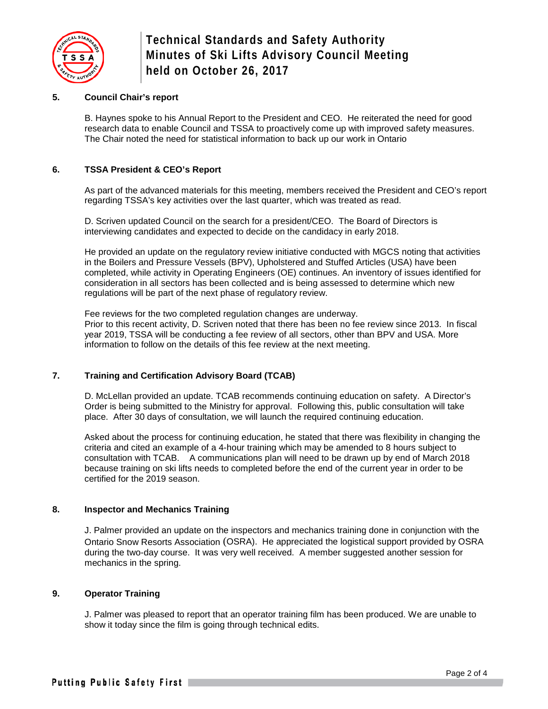

# **5. Council Chair's report**

B. Haynes spoke to his Annual Report to the President and CEO. He reiterated the need for good research data to enable Council and TSSA to proactively come up with improved safety measures. The Chair noted the need for statistical information to back up our work in Ontario

# **6. TSSA President & CEO's Report**

As part of the advanced materials for this meeting, members received the President and CEO's report regarding TSSA's key activities over the last quarter, which was treated as read.

D. Scriven updated Council on the search for a president/CEO. The Board of Directors is interviewing candidates and expected to decide on the candidacy in early 2018.

He provided an update on the regulatory review initiative conducted with MGCS noting that activities in the Boilers and Pressure Vessels (BPV), Upholstered and Stuffed Articles (USA) have been completed, while activity in Operating Engineers (OE) continues. An inventory of issues identified for consideration in all sectors has been collected and is being assessed to determine which new regulations will be part of the next phase of regulatory review.

Fee reviews for the two completed regulation changes are underway. Prior to this recent activity, D. Scriven noted that there has been no fee review since 2013. In fiscal year 2019, TSSA will be conducting a fee review of all sectors, other than BPV and USA. More information to follow on the details of this fee review at the next meeting.

# **7. Training and Certification Advisory Board (TCAB)**

D. McLellan provided an update. TCAB recommends continuing education on safety. A Director's Order is being submitted to the Ministry for approval. Following this, public consultation will take place. After 30 days of consultation, we will launch the required continuing education.

Asked about the process for continuing education, he stated that there was flexibility in changing the criteria and cited an example of a 4-hour training which may be amended to 8 hours subject to consultation with TCAB. A communications plan will need to be drawn up by end of March 2018 because training on ski lifts needs to completed before the end of the current year in order to be certified for the 2019 season.

## **8. Inspector and Mechanics Training**

J. Palmer provided an update on the inspectors and mechanics training done in conjunction with the Ontario Snow Resorts Association (OSRA). He appreciated the logistical support provided by OSRA during the two-day course. It was very well received. A member suggested another session for mechanics in the spring.

## **9. Operator Training**

J. Palmer was pleased to report that an operator training film has been produced. We are unable to show it today since the film is going through technical edits.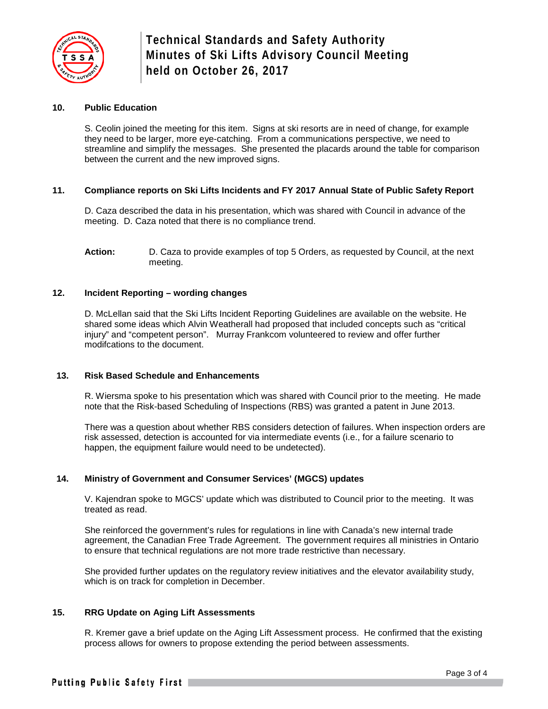

# **10. Public Education**

S. Ceolin joined the meeting for this item. Signs at ski resorts are in need of change, for example they need to be larger, more eye-catching. From a communications perspective, we need to streamline and simplify the messages. She presented the placards around the table for comparison between the current and the new improved signs.

# **11. Compliance reports on Ski Lifts Incidents and FY 2017 Annual State of Public Safety Report**

D. Caza described the data in his presentation, which was shared with Council in advance of the meeting. D. Caza noted that there is no compliance trend.

## **12. Incident Reporting – wording changes**

D. McLellan said that the Ski Lifts Incident Reporting Guidelines are available on the website. He shared some ideas which Alvin Weatherall had proposed that included concepts such as "critical injury" and "competent person". Murray Frankcom volunteered to review and offer further modifcations to the document.

## **13. Risk Based Schedule and Enhancements**

R. Wiersma spoke to his presentation which was shared with Council prior to the meeting. He made note that the Risk-based Scheduling of Inspections (RBS) was granted a patent in June 2013.

There was a question about whether RBS considers detection of failures. When inspection orders are risk assessed, detection is accounted for via intermediate events (i.e., for a failure scenario to happen, the equipment failure would need to be undetected).

# **14. Ministry of Government and Consumer Services' (MGCS) updates**

V. Kajendran spoke to MGCS' update which was distributed to Council prior to the meeting. It was treated as read.

She reinforced the government's rules for regulations in line with Canada's new internal trade agreement, the Canadian Free Trade Agreement. The government requires all ministries in Ontario to ensure that technical regulations are not more trade restrictive than necessary.

She provided further updates on the regulatory review initiatives and the elevator availability study, which is on track for completion in December.

## **15. RRG Update on Aging Lift Assessments**

R. Kremer gave a brief update on the Aging Lift Assessment process. He confirmed that the existing process allows for owners to propose extending the period between assessments.

**Action:** D. Caza to provide examples of top 5 Orders, as requested by Council, at the next meeting.